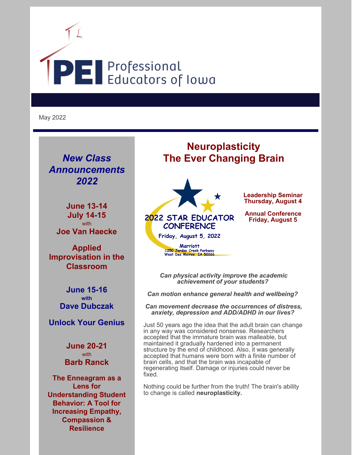

May 2022

*New Class Announcements 2022*

**June 13-14 July 14-15** with **Joe Van Haecke**

**Applied Improvisation in the Classroom**

> **June 15-16 with Dave Dubczak**

**Unlock Your Genius**

**June 20-21** with **Barb Ranck**

**The Enneagram as a Lens for Understanding Student Behavior: A Tool for Increasing Empathy, Compassion & Resilience**

# **Neuroplasticity The Ever Changing Brain**



Friday, August 5, 2022 **Marriott** 1250 Jordan Creek Parkway<br>West Des Moines, IA 50266

2022 STAR EDUCATOR **CONFERENCE** 

**Leadership Seminar Thursday, August 4**

**Annual Conference Friday, August 5**

*Can physical activity improve the academic achievement of your students?*

*Can motion enhance general health and wellbeing?*

*Can movement decrease the occurrences of distress, anxiety, depression and ADD/ADHD in our lives?*

Just 50 years ago the idea that the adult brain can change in any way was considered nonsense. Researchers accepted that the immature brain was malleable, but maintained it gradually hardened into a permanent structure by the end of childhood. Also, it was generally accepted that humans were born with a finite number of brain cells, and that the brain was incapable of regenerating itself. Damage or injuries could never be fixed.

Nothing could be further from the truth! The brain's ability to change is called **neuroplasticity.**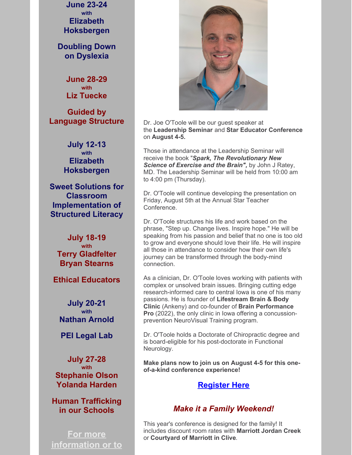**June 23-24 with Elizabeth Hoksbergen**

**Doubling Down on Dyslexia**

> **June 28-29 with Liz Tuecke**

**Guided by Language Structure**

> **July 12-13 with Elizabeth Hoksbergen**

**Sweet Solutions for Classroom Implementation of Structured Literacy**

**July 18-19 with Terry Gladfelter Bryan Stearns**

**Ethical Educators**

**July 20-21 with Nathan Arnold**

**PEI Legal Lab**

**July 27-28 with Stephanie Olson Yolanda Harden**

**Human Trafficking in our Schools**

**For more information or to**



Dr. Joe O'Toole will be our guest speaker at the **Leadership Seminar** and **Star Educator Conference** on **August 4-5.**

Those in attendance at the Leadership Seminar will receive the book "*Spark, The Revolutionary New Science of Exercise and the Brain",* by John J Ratey, MD. The Leadership Seminar will be held from 10:00 am to 4:00 pm (Thursday).

Dr. O'Toole will continue developing the presentation on Friday, August 5th at the Annual Star Teacher Conference.

Dr. O'Toole structures his life and work based on the phrase, "Step up. Change lives. Inspire hope." He will be speaking from his passion and belief that no one is too old to grow and everyone should love their life. He will inspire all those in attendance to consider how their own life's journey can be transformed through the body-mind connection.

As a clinician, Dr. O'Toole loves working with patients with complex or unsolved brain issues. Bringing cutting edge research-informed care to central Iowa is one of his many passions. He is founder of **Lifestream Brain & Body Clinic** (Ankeny) and co-founder of **Brain Performance Pro** (2022), the only clinic in Iowa offering a concussionprevention NeuroVisual Training program.

Dr. O'Toole holds a Doctorate of Chiropractic degree and is board-eligible for his post-doctorate in Functional Neurology.

**Make plans now to join us on August 4-5 for this oneof-a-kind conference experience!**

### **Register Here**

### *Make it a Family Weekend!*

This year's conference is designed for the family! It includes discount room rates with **Marriott Jordan Creek** or **Courtyard of Marriott in Clive**.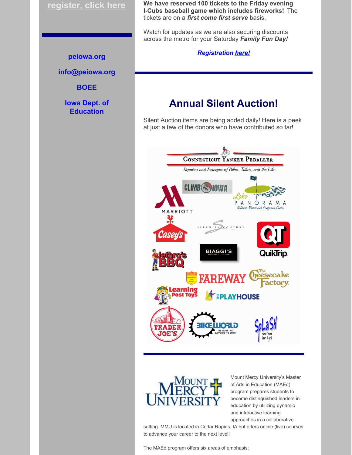### **register, click here**

#### **peiowa.org**

**info@peiowa.org**

**BOEE**

**Iowa Dept. of Education**

**We have reserved 100 tickets to the Friday evening I-Cubs baseball game which includes fireworks!** The tickets are on a *first come first serve* basis.

Watch for updates as we are also securing discounts across the metro for your Saturday *Family Fun Day!*

*Registration here!*

## **Annual Silent Auction!**

Silent Auction items are being added daily! Here is a peek at just a few of the donors who have contributed so far!





Mount Mercy University's Master of Arts in Education (MAEd) program prepares students to become distinguished leaders in education by utilizing dynamic and interactive learning approaches in a collaborative

setting. MMU is located in Cedar Rapids, IA but offers online (live) courses to advance your career to the next level!

The MAEd program offers six areas of emphasis: